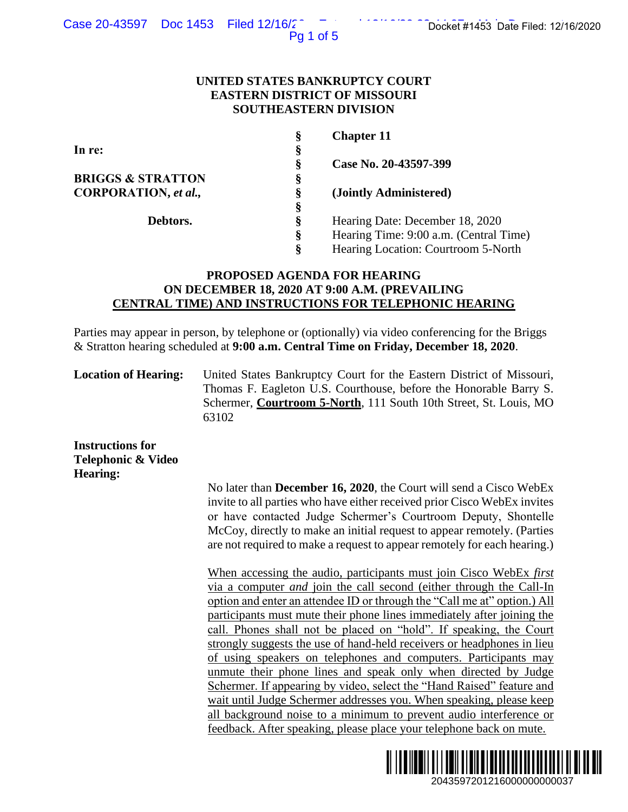Pg 1 of 5

## **UNITED STATES BANKRUPTCY COURT EASTERN DISTRICT OF MISSOURI SOUTHEASTERN DIVISION**

| §  | <b>Chapter 11</b>                      |
|----|----------------------------------------|
| §  |                                        |
| Ş  | Case No. 20-43597-399                  |
| Š  |                                        |
| Š  | (Jointly Administered)                 |
| §  |                                        |
| Ş  | Hearing Date: December 18, 2020        |
| \$ | Hearing Time: 9:00 a.m. (Central Time) |
| Ş  | Hearing Location: Courtroom 5-North    |
|    |                                        |

# **PROPOSED AGENDA FOR HEARING ON DECEMBER 18, 2020 AT 9:00 A.M. (PREVAILING CENTRAL TIME) AND INSTRUCTIONS FOR TELEPHONIC HEARING**

Parties may appear in person, by telephone or (optionally) via video conferencing for the Briggs & Stratton hearing scheduled at **9:00 a.m. Central Time on Friday, December 18, 2020**.

**Location of Hearing:** United States Bankruptcy Court for the Eastern District of Missouri, Thomas F. Eagleton U.S. Courthouse, before the Honorable Barry S. Schermer, **Courtroom 5-North**, 111 South 10th Street, St. Louis, MO 63102

**Instructions for Telephonic & Video Hearing:**

> No later than **December 16, 2020**, the Court will send a Cisco WebEx invite to all parties who have either received prior Cisco WebEx invites or have contacted Judge Schermer's Courtroom Deputy, Shontelle McCoy, directly to make an initial request to appear remotely. (Parties are not required to make a request to appear remotely for each hearing.)

When accessing the audio, participants must join Cisco WebEx *first*  via a computer *and* join the call second (either through the Call-In option and enter an attendee ID or through the "Call me at" option.) All participants must mute their phone lines immediately after joining the call. Phones shall not be placed on "hold". If speaking, the Court strongly suggests the use of hand-held receivers or headphones in lieu of using speakers on telephones and computers. Participants may unmute their phone lines and speak only when directed by Judge Schermer. If appearing by video, select the "Hand Raised" feature and wait until Judge Schermer addresses you. When speaking, please keep all background noise to a minimum to prevent audio interference or feedback. After speaking, please place your telephone back on mute. 2043597201216000000000037 Docket #1453 Date Filed: 12/16/2020

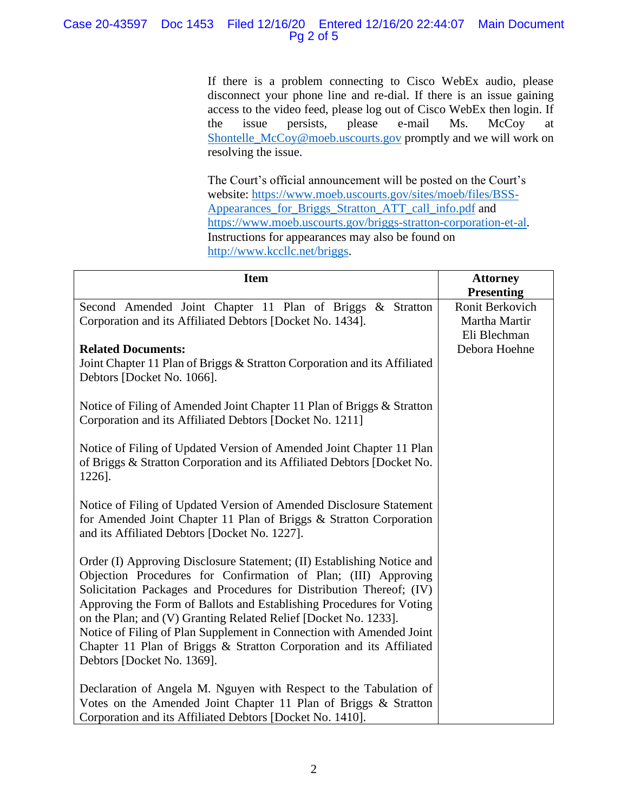# Case 20-43597 Doc 1453 Filed 12/16/20 Entered 12/16/20 22:44:07 Main Document Pg 2 of 5

If there is a problem connecting to Cisco WebEx audio, please disconnect your phone line and re-dial. If there is an issue gaining access to the video feed, please log out of Cisco WebEx then login. If the issue persists, please e-mail Ms. McCoy at [Shontelle\\_McCoy@moeb.uscourts.gov](mailto:Shontelle_McCoy@moeb.uscourts.gov) promptly and we will work on resolving the issue.

The Court's official announcement will be posted on the Court's website: [https://www.moeb.uscourts.gov/sites/moeb/files/BSS-](https://www.moeb.uscourts.gov/sites/moeb/files/BSS-Appearances_for_Briggs_Stratton_ATT_call_info.pdf)[Appearances\\_for\\_Briggs\\_Stratton\\_ATT\\_call\\_info.pdf](https://www.moeb.uscourts.gov/sites/moeb/files/BSS-Appearances_for_Briggs_Stratton_ATT_call_info.pdf) and [https://www.moeb.uscourts.gov/briggs-stratton-corporation-et-al.](https://www.moeb.uscourts.gov/briggs-stratton-corporation-et-al) Instructions for appearances may also be found on [http://www.kccllc.net/briggs.](http://www.kccllc.net/briggs)

| <b>Item</b>                                                                                                                                                                                                                                                                                                                                                                                                                                                                                                                             | <b>Attorney</b>                                                       |
|-----------------------------------------------------------------------------------------------------------------------------------------------------------------------------------------------------------------------------------------------------------------------------------------------------------------------------------------------------------------------------------------------------------------------------------------------------------------------------------------------------------------------------------------|-----------------------------------------------------------------------|
| Second Amended Joint Chapter 11 Plan of Briggs & Stratton<br>Corporation and its Affiliated Debtors [Docket No. 1434].                                                                                                                                                                                                                                                                                                                                                                                                                  | <b>Presenting</b><br>Ronit Berkovich<br>Martha Martir<br>Eli Blechman |
| <b>Related Documents:</b><br>Joint Chapter 11 Plan of Briggs & Stratton Corporation and its Affiliated<br>Debtors [Docket No. 1066].                                                                                                                                                                                                                                                                                                                                                                                                    | Debora Hoehne                                                         |
| Notice of Filing of Amended Joint Chapter 11 Plan of Briggs & Stratton<br>Corporation and its Affiliated Debtors [Docket No. 1211]                                                                                                                                                                                                                                                                                                                                                                                                      |                                                                       |
| Notice of Filing of Updated Version of Amended Joint Chapter 11 Plan<br>of Briggs & Stratton Corporation and its Affiliated Debtors [Docket No.<br>1226].                                                                                                                                                                                                                                                                                                                                                                               |                                                                       |
| Notice of Filing of Updated Version of Amended Disclosure Statement<br>for Amended Joint Chapter 11 Plan of Briggs & Stratton Corporation<br>and its Affiliated Debtors [Docket No. 1227].                                                                                                                                                                                                                                                                                                                                              |                                                                       |
| Order (I) Approving Disclosure Statement; (II) Establishing Notice and<br>Objection Procedures for Confirmation of Plan; (III) Approving<br>Solicitation Packages and Procedures for Distribution Thereof; (IV)<br>Approving the Form of Ballots and Establishing Procedures for Voting<br>on the Plan; and (V) Granting Related Relief [Docket No. 1233].<br>Notice of Filing of Plan Supplement in Connection with Amended Joint<br>Chapter 11 Plan of Briggs & Stratton Corporation and its Affiliated<br>Debtors [Docket No. 1369]. |                                                                       |
| Declaration of Angela M. Nguyen with Respect to the Tabulation of<br>Votes on the Amended Joint Chapter 11 Plan of Briggs & Stratton<br>Corporation and its Affiliated Debtors [Docket No. 1410].                                                                                                                                                                                                                                                                                                                                       |                                                                       |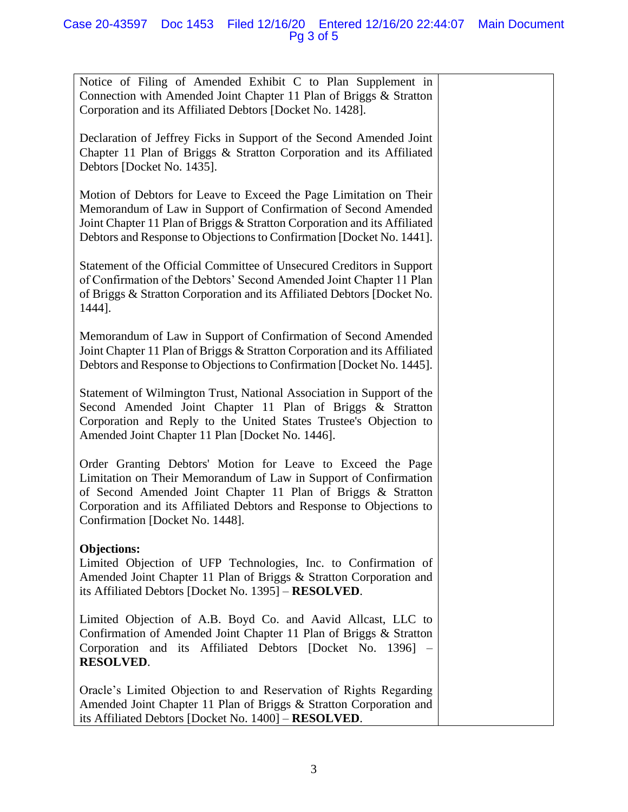Notice of Filing of Amended Exhibit C to Plan Supplement in Connection with Amended Joint Chapter 11 Plan of Briggs & Stratton Corporation and its Affiliated Debtors [Docket No. 1428].

Declaration of Jeffrey Ficks in Support of the Second Amended Joint Chapter 11 Plan of Briggs & Stratton Corporation and its Affiliated Debtors [Docket No. 1435].

Motion of Debtors for Leave to Exceed the Page Limitation on Their Memorandum of Law in Support of Confirmation of Second Amended Joint Chapter 11 Plan of Briggs & Stratton Corporation and its Affiliated Debtors and Response to Objections to Confirmation [Docket No. 1441].

Statement of the Official Committee of Unsecured Creditors in Support of Confirmation of the Debtors' Second Amended Joint Chapter 11 Plan of Briggs & Stratton Corporation and its Affiliated Debtors [Docket No. 1444].

Memorandum of Law in Support of Confirmation of Second Amended Joint Chapter 11 Plan of Briggs & Stratton Corporation and its Affiliated Debtors and Response to Objections to Confirmation [Docket No. 1445].

Statement of Wilmington Trust, National Association in Support of the Second Amended Joint Chapter 11 Plan of Briggs & Stratton Corporation and Reply to the United States Trustee's Objection to Amended Joint Chapter 11 Plan [Docket No. 1446].

Order Granting Debtors' Motion for Leave to Exceed the Page Limitation on Their Memorandum of Law in Support of Confirmation of Second Amended Joint Chapter 11 Plan of Briggs & Stratton Corporation and its Affiliated Debtors and Response to Objections to Confirmation [Docket No. 1448].

# **Objections:**

Limited Objection of UFP Technologies, Inc. to Confirmation of Amended Joint Chapter 11 Plan of Briggs & Stratton Corporation and its Affiliated Debtors [Docket No. 1395] – **RESOLVED**.

Limited Objection of A.B. Boyd Co. and Aavid Allcast, LLC to Confirmation of Amended Joint Chapter 11 Plan of Briggs & Stratton Corporation and its Affiliated Debtors [Docket No. 1396] – **RESOLVED**.

Oracle's Limited Objection to and Reservation of Rights Regarding Amended Joint Chapter 11 Plan of Briggs & Stratton Corporation and its Affiliated Debtors [Docket No. 1400] – **RESOLVED**.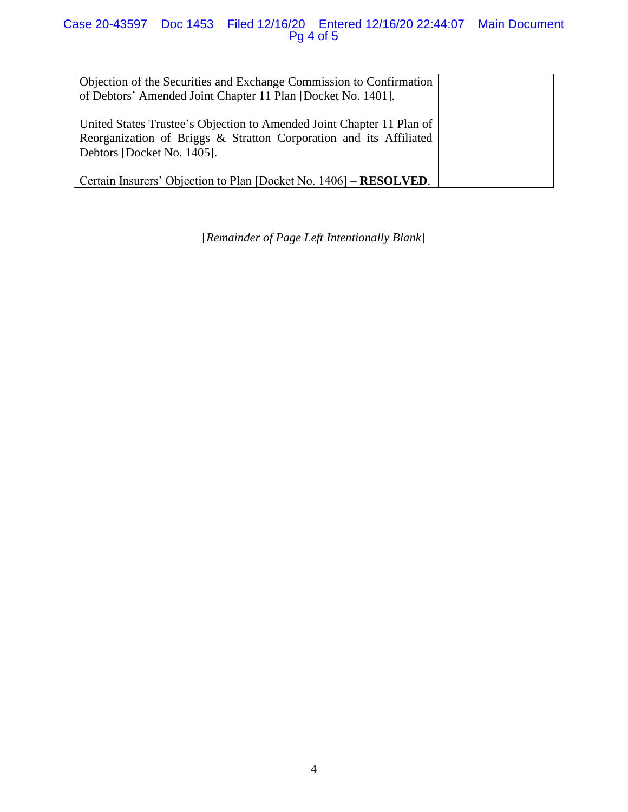## Case 20-43597 Doc 1453 Filed 12/16/20 Entered 12/16/20 22:44:07 Main Document Pg 4 of 5

Objection of the Securities and Exchange Commission to Confirmation of Debtors' Amended Joint Chapter 11 Plan [Docket No. 1401].

United States Trustee's Objection to Amended Joint Chapter 11 Plan of Reorganization of Briggs & Stratton Corporation and its Affiliated Debtors [Docket No. 1405].

Certain Insurers' Objection to Plan [Docket No. 1406] – **RESOLVED**.

[*Remainder of Page Left Intentionally Blank*]